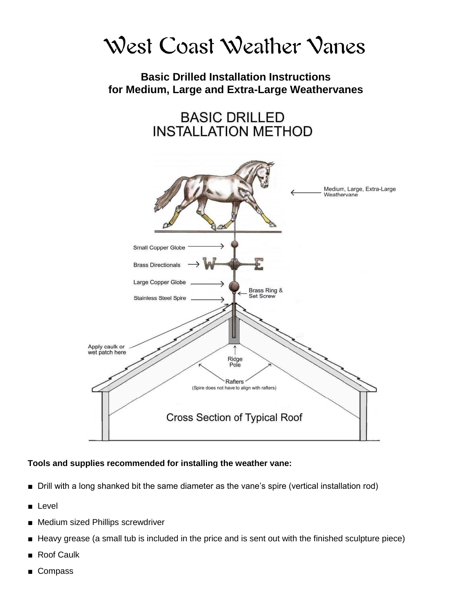

# **Basic Drilled Installation Instructions for Medium, Large and Extra-Large Weathervanes**

**BASIC DRILLED INSTALLATION METHOD** 



### **Tools and supplies recommended for installing the weather vane:**

- Drill with a long shanked bit the same diameter as the vane's spire (vertical installation rod)
- Level
- Medium sized Phillips screwdriver
- Heavy grease (a small tub is included in the price and is sent out with the finished sculpture piece)
- **Roof Caulk**
- **Compass**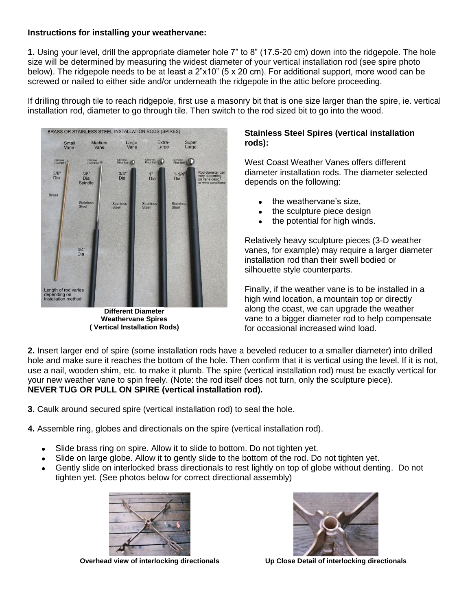#### **Instructions for installing your weathervane:**

**1.** Using your level, drill the appropriate diameter hole 7" to 8" (17.5-20 cm) down into the ridgepole. The hole size will be determined by measuring the widest diameter of your vertical installation rod (see spire photo below). The ridgepole needs to be at least a 2"x10" (5 x 20 cm). For additional support, more wood can be screwed or nailed to either side and/or underneath the ridgepole in the attic before proceeding.

If drilling through tile to reach ridgepole, first use a masonry bit that is one size larger than the spire, ie. vertical installation rod, diameter to go through tile. Then switch to the rod sized bit to go into the wood.



**Different Diameter Weathervane Spires ( Vertical Installation Rods)**

### **Stainless Steel Spires (vertical installation rods):**

West Coast Weather Vanes offers different diameter installation rods. The diameter selected depends on the following:

- the weathervane's size,
- the sculpture piece design
- the potential for high winds.

Relatively heavy sculpture pieces (3-D weather vanes, for example) may require a larger diameter installation rod than their swell bodied or silhouette style counterparts.

Finally, if the weather vane is to be installed in a high wind location, a mountain top or directly along the coast, we can upgrade the weather vane to a bigger diameter rod to help compensate for occasional increased wind load.

**2.** Insert larger end of spire (some installation rods have a beveled reducer to a smaller diameter) into drilled hole and make sure it reaches the bottom of the hole. Then confirm that it is vertical using the level. If it is not, use a nail, wooden shim, etc. to make it plumb. The spire (vertical installation rod) must be exactly vertical for your new weather vane to spin freely. (Note: the rod itself does not turn, only the sculpture piece). **NEVER TUG OR PULL ON SPIRE (vertical installation rod).**

**3.** Caulk around secured spire (vertical installation rod) to seal the hole.

**4.** Assemble ring, globes and directionals on the spire (vertical installation rod).

- Slide brass ring on spire. Allow it to slide to bottom. Do not tighten yet.  $\bullet$
- Slide on large globe. Allow it to gently slide to the bottom of the rod. Do not tighten yet.
- Gently slide on interlocked brass directionals to rest lightly on top of globe without denting. Do not tighten yet. (See photos below for correct directional assembly)



**Overhead view of interlocking directionals Up Close Detail of interlocking directionals**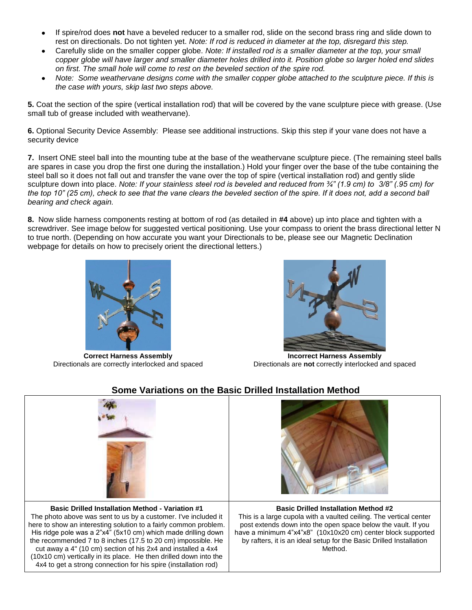- If spire/rod does **not** have a beveled reducer to a smaller rod, slide on the second brass ring and slide down to rest on directionals. Do not tighten yet. *Note: If rod is reduced in diameter at the top, disregard this step.*
- Carefully slide on the smaller copper globe. *Note: If installed rod is a smaller diameter at the top, your small copper globe will have larger and smaller diameter holes drilled into it. Position globe so larger holed end slides on first. The small hole will come to rest on the beveled section of the spire rod.*
- *Note: Some weathervane designs come with the smaller copper globe attached to the sculpture piece. If this is the case with yours, skip last two steps above.*

**5.** Coat the section of the spire (vertical installation rod) that will be covered by the vane sculpture piece with grease. (Use small tub of grease included with weathervane).

**6.** Optional Security Device Assembly: Please see additional instructions. Skip this step if your vane does not have a security device

**7.** Insert ONE steel ball into the mounting tube at the base of the weathervane sculpture piece. (The remaining steel balls are spares in case you drop the first one during the installation.) Hold your finger over the base of the tube containing the steel ball so it does not fall out and transfer the vane over the top of spire (vertical installation rod) and gently slide sculpture down into place. *Note: If your stainless steel rod is beveled and reduced from ¾" (1.9 cm) to 3/8" (.95 cm) for the top 10" (25 cm), check to see that the vane clears the beveled section of the spire. If it does not, add a second ball bearing and check again.*

**8.** Now slide harness components resting at bottom of rod (as detailed in **#4** above) up into place and tighten with a screwdriver. See image below for suggested vertical positioning. Use your compass to orient the brass directional letter N to true north. (Depending on how accurate you want your Directionals to be, please see our [Magnetic Declination](https://docs.google.com/document/d/1TRj8aey_fZf0VIEQcozdIMr0A0O1hB3DT4UL1RYOTpU/edit) [webpage](https://docs.google.com/document/d/1TRj8aey_fZf0VIEQcozdIMr0A0O1hB3DT4UL1RYOTpU/edit) for details on how to precisely orient the directional letters.)



**Correct Harness Assembly** Directionals are correctly interlocked and spaced

**Incorrect Harness Assembly** Directionals are **not** correctly interlocked and spaced



# **Some Variations on the Basic Drilled Installation Method**

**Basic Drilled Installation Method - Variation #1** The photo above was sent to us by a customer. I've included it here to show an interesting solution to a fairly common problem. His ridge pole was a 2"x4" (5x10 cm) which made drilling down the recommended 7 to 8 inches (17.5 to 20 cm) impossible. He cut away a 4" (10 cm) section of his 2x4 and installed a 4x4 (10x10 cm) vertically in its place. He then drilled down into the 4x4 to get a strong connection for his spire (installation rod)



#### **Basic Drilled Installation Method #2**

This is a large cupola with a vaulted ceiling. The vertical center post extends down into the open space below the vault. If you have a minimum 4"x4"x8" (10x10x20 cm) center block supported by rafters, it is an ideal setup for the Basic Drilled Installation Method.